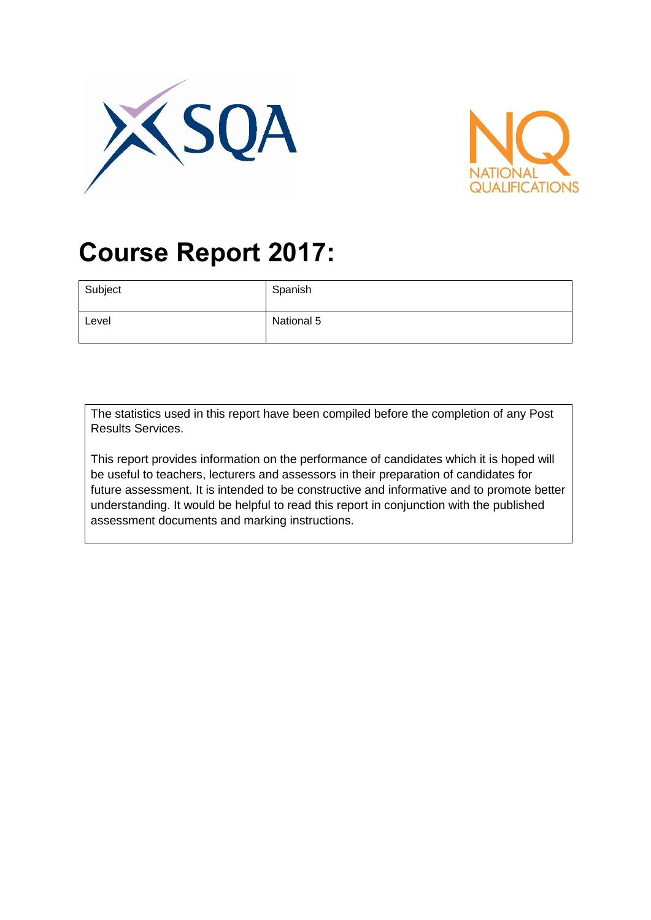



# **Course Report 2017:**

| Subject | Spanish    |
|---------|------------|
| Level   | National 5 |

The statistics used in this report have been compiled before the completion of any Post Results Services.

This report provides information on the performance of candidates which it is hoped will be useful to teachers, lecturers and assessors in their preparation of candidates for future assessment. It is intended to be constructive and informative and to promote better understanding. It would be helpful to read this report in conjunction with the published assessment documents and marking instructions.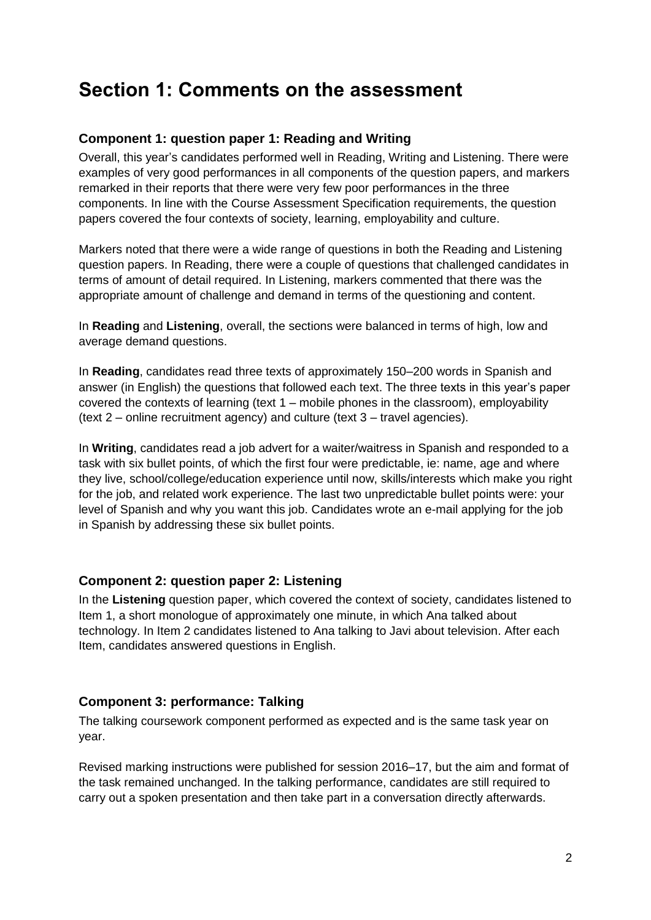## **Section 1: Comments on the assessment**

#### **Component 1: question paper 1: Reading and Writing**

Overall, this year's candidates performed well in Reading, Writing and Listening. There were examples of very good performances in all components of the question papers, and markers remarked in their reports that there were very few poor performances in the three components. In line with the Course Assessment Specification requirements, the question papers covered the four contexts of society, learning, employability and culture.

Markers noted that there were a wide range of questions in both the Reading and Listening question papers. In Reading, there were a couple of questions that challenged candidates in terms of amount of detail required. In Listening, markers commented that there was the appropriate amount of challenge and demand in terms of the questioning and content.

In **Reading** and **Listening**, overall, the sections were balanced in terms of high, low and average demand questions.

In **Reading**, candidates read three texts of approximately 150–200 words in Spanish and answer (in English) the questions that followed each text. The three texts in this year's paper covered the contexts of learning (text 1 – mobile phones in the classroom), employability (text 2 – online recruitment agency) and culture (text 3 – travel agencies).

In **Writing**, candidates read a job advert for a waiter/waitress in Spanish and responded to a task with six bullet points, of which the first four were predictable, ie: name, age and where they live, school/college/education experience until now, skills/interests which make you right for the job, and related work experience. The last two unpredictable bullet points were: your level of Spanish and why you want this job. Candidates wrote an e-mail applying for the job in Spanish by addressing these six bullet points.

#### **Component 2: question paper 2: Listening**

In the **Listening** question paper, which covered the context of society, candidates listened to Item 1, a short monologue of approximately one minute, in which Ana talked about technology. In Item 2 candidates listened to Ana talking to Javi about television. After each Item, candidates answered questions in English.

#### **Component 3: performance: Talking**

The talking coursework component performed as expected and is the same task year on year.

Revised marking instructions were published for session 2016–17, but the aim and format of the task remained unchanged. In the talking performance, candidates are still required to carry out a spoken presentation and then take part in a conversation directly afterwards.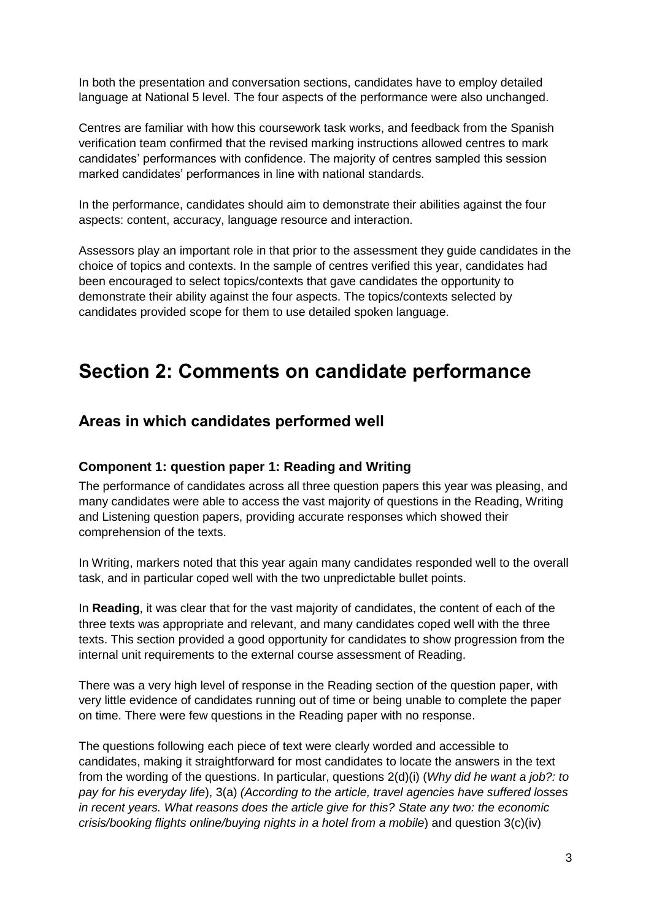In both the presentation and conversation sections, candidates have to employ detailed language at National 5 level. The four aspects of the performance were also unchanged.

Centres are familiar with how this coursework task works, and feedback from the Spanish verification team confirmed that the revised marking instructions allowed centres to mark candidates' performances with confidence. The majority of centres sampled this session marked candidates' performances in line with national standards.

In the performance, candidates should aim to demonstrate their abilities against the four aspects: content, accuracy, language resource and interaction.

Assessors play an important role in that prior to the assessment they guide candidates in the choice of topics and contexts. In the sample of centres verified this year, candidates had been encouraged to select topics/contexts that gave candidates the opportunity to demonstrate their ability against the four aspects. The topics/contexts selected by candidates provided scope for them to use detailed spoken language.

## **Section 2: Comments on candidate performance**

### **Areas in which candidates performed well**

#### **Component 1: question paper 1: Reading and Writing**

The performance of candidates across all three question papers this year was pleasing, and many candidates were able to access the vast majority of questions in the Reading, Writing and Listening question papers, providing accurate responses which showed their comprehension of the texts.

In Writing, markers noted that this year again many candidates responded well to the overall task, and in particular coped well with the two unpredictable bullet points.

In **Reading**, it was clear that for the vast majority of candidates, the content of each of the three texts was appropriate and relevant, and many candidates coped well with the three texts. This section provided a good opportunity for candidates to show progression from the internal unit requirements to the external course assessment of Reading.

There was a very high level of response in the Reading section of the question paper, with very little evidence of candidates running out of time or being unable to complete the paper on time. There were few questions in the Reading paper with no response.

The questions following each piece of text were clearly worded and accessible to candidates, making it straightforward for most candidates to locate the answers in the text from the wording of the questions. In particular, questions 2(d)(i) (*Why did he want a job?: to pay for his everyday life*), 3(a) *(According to the article, travel agencies have suffered losses in recent years. What reasons does the article give for this? State any two: the economic crisis/booking flights online/buying nights in a hotel from a mobile*) and question 3(c)(iv)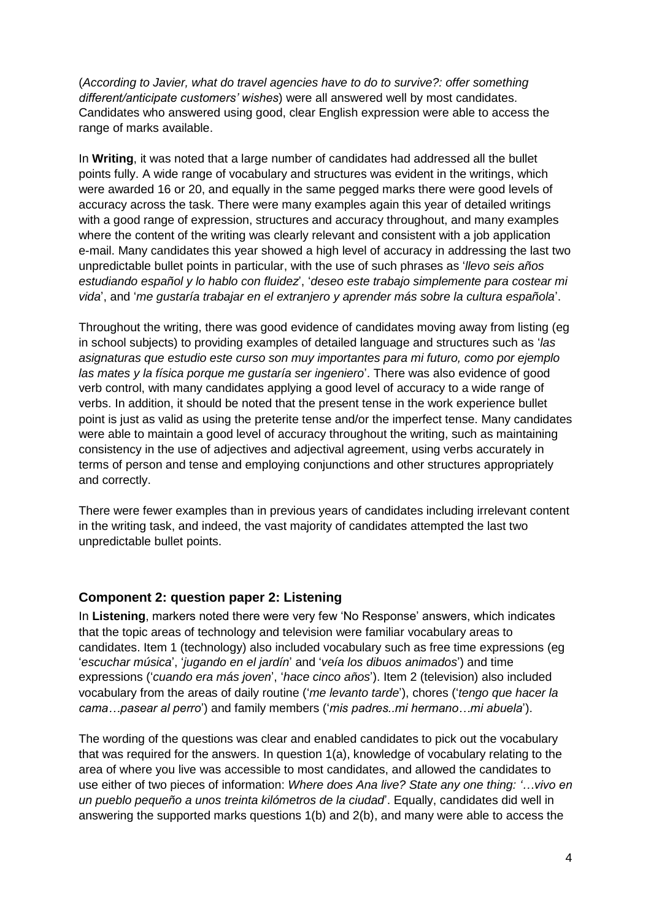(*According to Javier, what do travel agencies have to do to survive?: offer something different/anticipate customers' wishes*) were all answered well by most candidates. Candidates who answered using good, clear English expression were able to access the range of marks available.

In **Writing**, it was noted that a large number of candidates had addressed all the bullet points fully. A wide range of vocabulary and structures was evident in the writings, which were awarded 16 or 20, and equally in the same pegged marks there were good levels of accuracy across the task. There were many examples again this year of detailed writings with a good range of expression, structures and accuracy throughout, and many examples where the content of the writing was clearly relevant and consistent with a job application e-mail. Many candidates this year showed a high level of accuracy in addressing the last two unpredictable bullet points in particular, with the use of such phrases as '*llevo seis años estudiando español y lo hablo con fluidez*', '*deseo este trabajo simplemente para costear mi vida*', and '*me gustaría trabajar en el extranjero y aprender más sobre la cultura española*'.

Throughout the writing, there was good evidence of candidates moving away from listing (eg in school subjects) to providing examples of detailed language and structures such as '*las asignaturas que estudio este curso son muy importantes para mi futuro, como por ejemplo las mates y la física porque me gustaría ser ingeniero*'. There was also evidence of good verb control, with many candidates applying a good level of accuracy to a wide range of verbs. In addition, it should be noted that the present tense in the work experience bullet point is just as valid as using the preterite tense and/or the imperfect tense. Many candidates were able to maintain a good level of accuracy throughout the writing, such as maintaining consistency in the use of adjectives and adjectival agreement, using verbs accurately in terms of person and tense and employing conjunctions and other structures appropriately and correctly.

There were fewer examples than in previous years of candidates including irrelevant content in the writing task, and indeed, the vast majority of candidates attempted the last two unpredictable bullet points.

#### **Component 2: question paper 2: Listening**

In **Listening**, markers noted there were very few 'No Response' answers, which indicates that the topic areas of technology and television were familiar vocabulary areas to candidates. Item 1 (technology) also included vocabulary such as free time expressions (eg '*escuchar música*', '*jugando en el jardín*' and '*veía los dibuos animados*') and time expressions ('*cuando era más joven*', '*hace cinco años*'). Item 2 (television) also included vocabulary from the areas of daily routine ('*me levanto tarde*'), chores ('*tengo que hacer la cama…pasear al perro*') and family members ('*mis padres..mi hermano…mi abuela*').

The wording of the questions was clear and enabled candidates to pick out the vocabulary that was required for the answers. In question 1(a), knowledge of vocabulary relating to the area of where you live was accessible to most candidates, and allowed the candidates to use either of two pieces of information: *Where does Ana live? State any one thing: '…vivo en un pueblo pequeño a unos treinta kilómetros de la ciudad*'. Equally, candidates did well in answering the supported marks questions 1(b) and 2(b), and many were able to access the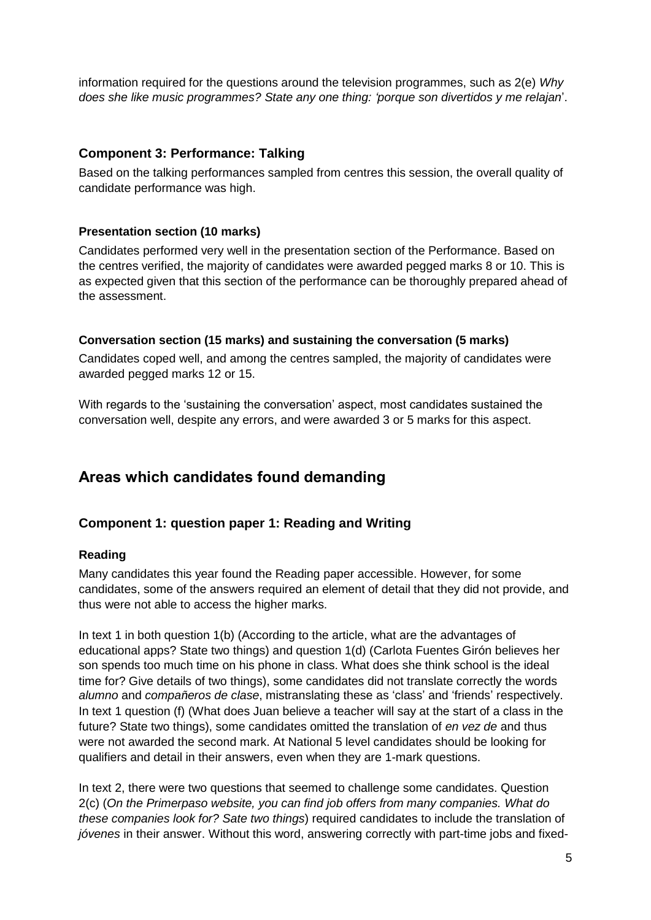information required for the questions around the television programmes, such as 2(e) *Why does she like music programmes? State any one thing: 'porque son divertidos y me relajan*'.

#### **Component 3: Performance: Talking**

Based on the talking performances sampled from centres this session, the overall quality of candidate performance was high.

#### **Presentation section (10 marks)**

Candidates performed very well in the presentation section of the Performance. Based on the centres verified, the majority of candidates were awarded pegged marks 8 or 10. This is as expected given that this section of the performance can be thoroughly prepared ahead of the assessment.

#### **Conversation section (15 marks) and sustaining the conversation (5 marks)**

Candidates coped well, and among the centres sampled, the majority of candidates were awarded pegged marks 12 or 15.

With regards to the 'sustaining the conversation' aspect, most candidates sustained the conversation well, despite any errors, and were awarded 3 or 5 marks for this aspect.

### **Areas which candidates found demanding**

#### **Component 1: question paper 1: Reading and Writing**

#### **Reading**

Many candidates this year found the Reading paper accessible. However, for some candidates, some of the answers required an element of detail that they did not provide, and thus were not able to access the higher marks.

In text 1 in both question 1(b) (According to the article, what are the advantages of educational apps? State two things) and question 1(d) (Carlota Fuentes Girón believes her son spends too much time on his phone in class. What does she think school is the ideal time for? Give details of two things), some candidates did not translate correctly the words *alumno* and *compañeros de clase*, mistranslating these as 'class' and 'friends' respectively. In text 1 question (f) (What does Juan believe a teacher will say at the start of a class in the future? State two things), some candidates omitted the translation of *en vez de* and thus were not awarded the second mark. At National 5 level candidates should be looking for qualifiers and detail in their answers, even when they are 1-mark questions.

In text 2, there were two questions that seemed to challenge some candidates. Question 2(c) (*On the Primerpaso website, you can find job offers from many companies. What do these companies look for? Sate two things*) required candidates to include the translation of *jóvenes* in their answer. Without this word, answering correctly with part-time jobs and fixed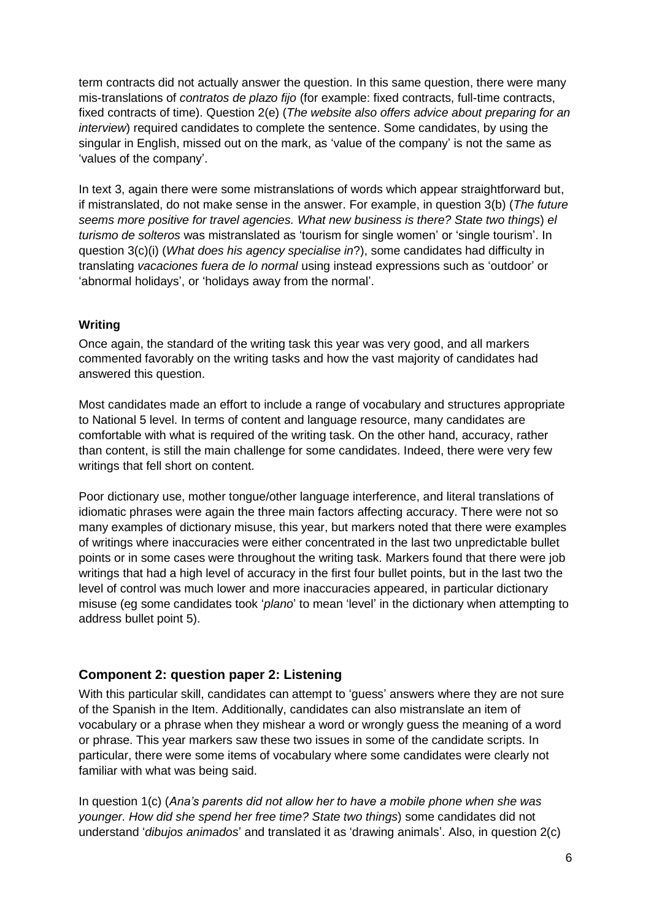term contracts did not actually answer the question. In this same question, there were many mis-translations of *contratos de plazo fijo* (for example: fixed contracts, full-time contracts, fixed contracts of time). Question 2(e) (*The website also offers advice about preparing for an interview*) required candidates to complete the sentence. Some candidates, by using the singular in English, missed out on the mark, as 'value of the company' is not the same as 'values of the company'.

In text 3, again there were some mistranslations of words which appear straightforward but, if mistranslated, do not make sense in the answer. For example, in question 3(b) (*The future seems more positive for travel agencies. What new business is there? State two things*) *el turismo de solteros* was mistranslated as 'tourism for single women' or 'single tourism'. In question 3(c)(i) (*What does his agency specialise in*?), some candidates had difficulty in translating *vacaciones fuera de lo normal* using instead expressions such as 'outdoor' or 'abnormal holidays', or 'holidays away from the normal'.

#### **Writing**

Once again, the standard of the writing task this year was very good, and all markers commented favorably on the writing tasks and how the vast majority of candidates had answered this question.

Most candidates made an effort to include a range of vocabulary and structures appropriate to National 5 level. In terms of content and language resource, many candidates are comfortable with what is required of the writing task. On the other hand, accuracy, rather than content, is still the main challenge for some candidates. Indeed, there were very few writings that fell short on content.

Poor dictionary use, mother tongue/other language interference, and literal translations of idiomatic phrases were again the three main factors affecting accuracy. There were not so many examples of dictionary misuse, this year, but markers noted that there were examples of writings where inaccuracies were either concentrated in the last two unpredictable bullet points or in some cases were throughout the writing task. Markers found that there were job writings that had a high level of accuracy in the first four bullet points, but in the last two the level of control was much lower and more inaccuracies appeared, in particular dictionary misuse (eg some candidates took '*plano*' to mean 'level' in the dictionary when attempting to address bullet point 5).

#### **Component 2: question paper 2: Listening**

With this particular skill, candidates can attempt to 'guess' answers where they are not sure of the Spanish in the Item. Additionally, candidates can also mistranslate an item of vocabulary or a phrase when they mishear a word or wrongly guess the meaning of a word or phrase. This year markers saw these two issues in some of the candidate scripts. In particular, there were some items of vocabulary where some candidates were clearly not familiar with what was being said.

In question 1(c) (*Ana's parents did not allow her to have a mobile phone when she was younger. How did she spend her free time? State two things*) some candidates did not understand '*dibujos animados*' and translated it as 'drawing animals'. Also, in question 2(c)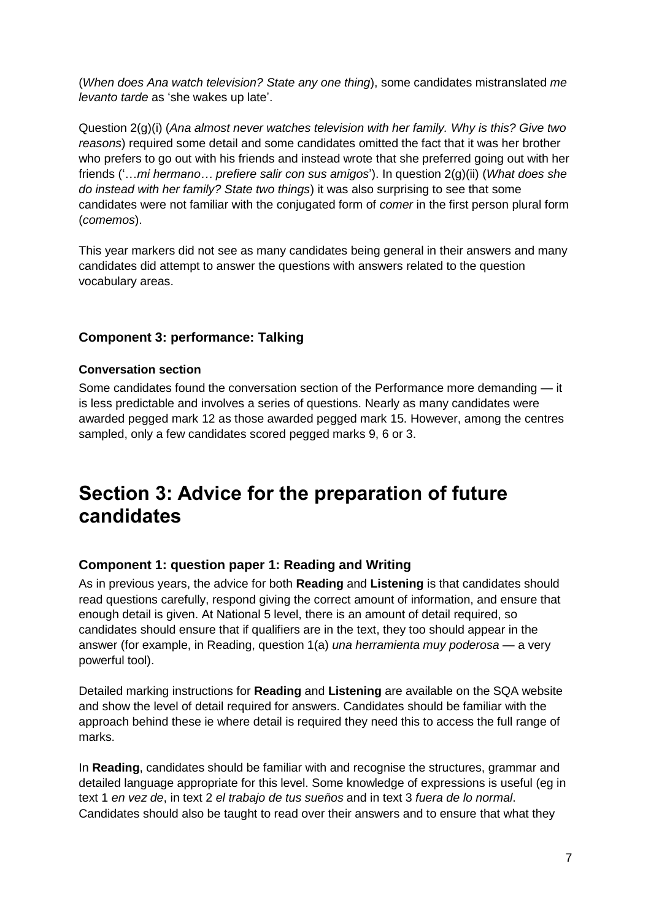(*When does Ana watch television? State any one thing*), some candidates mistranslated *me levanto tarde* as 'she wakes up late'.

Question 2(g)(i) (*Ana almost never watches television with her family. Why is this? Give two reasons*) required some detail and some candidates omitted the fact that it was her brother who prefers to go out with his friends and instead wrote that she preferred going out with her friends ('…*mi hermano… prefiere salir con sus amigos*'). In question 2(g)(ii) (*What does she do instead with her family? State two things*) it was also surprising to see that some candidates were not familiar with the conjugated form of *comer* in the first person plural form (*comemos*).

This year markers did not see as many candidates being general in their answers and many candidates did attempt to answer the questions with answers related to the question vocabulary areas.

#### **Component 3: performance: Talking**

#### **Conversation section**

Some candidates found the conversation section of the Performance more demanding — it is less predictable and involves a series of questions. Nearly as many candidates were awarded pegged mark 12 as those awarded pegged mark 15. However, among the centres sampled, only a few candidates scored pegged marks 9, 6 or 3.

## **Section 3: Advice for the preparation of future candidates**

#### **Component 1: question paper 1: Reading and Writing**

As in previous years, the advice for both **Reading** and **Listening** is that candidates should read questions carefully, respond giving the correct amount of information, and ensure that enough detail is given. At National 5 level, there is an amount of detail required, so candidates should ensure that if qualifiers are in the text, they too should appear in the answer (for example, in Reading, question 1(a) *una herramienta muy poderosa* — a very powerful tool).

Detailed marking instructions for **Reading** and **Listening** are available on the SQA website and show the level of detail required for answers. Candidates should be familiar with the approach behind these ie where detail is required they need this to access the full range of marks.

In **Reading**, candidates should be familiar with and recognise the structures, grammar and detailed language appropriate for this level. Some knowledge of expressions is useful (eg in text 1 *en vez de*, in text 2 *el trabajo de tus sueños* and in text 3 *fuera de lo normal*. Candidates should also be taught to read over their answers and to ensure that what they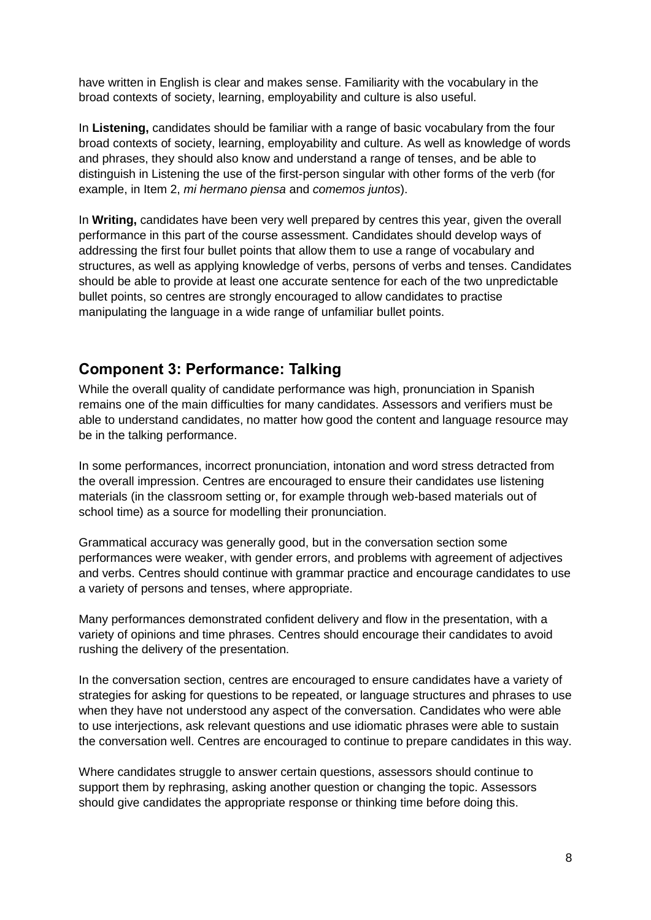have written in English is clear and makes sense. Familiarity with the vocabulary in the broad contexts of society, learning, employability and culture is also useful.

In **Listening,** candidates should be familiar with a range of basic vocabulary from the four broad contexts of society, learning, employability and culture. As well as knowledge of words and phrases, they should also know and understand a range of tenses, and be able to distinguish in Listening the use of the first-person singular with other forms of the verb (for example, in Item 2, *mi hermano piensa* and *comemos juntos*).

In **Writing,** candidates have been very well prepared by centres this year, given the overall performance in this part of the course assessment. Candidates should develop ways of addressing the first four bullet points that allow them to use a range of vocabulary and structures, as well as applying knowledge of verbs, persons of verbs and tenses. Candidates should be able to provide at least one accurate sentence for each of the two unpredictable bullet points, so centres are strongly encouraged to allow candidates to practise manipulating the language in a wide range of unfamiliar bullet points.

### **Component 3: Performance: Talking**

While the overall quality of candidate performance was high, pronunciation in Spanish remains one of the main difficulties for many candidates. Assessors and verifiers must be able to understand candidates, no matter how good the content and language resource may be in the talking performance.

In some performances, incorrect pronunciation, intonation and word stress detracted from the overall impression. Centres are encouraged to ensure their candidates use listening materials (in the classroom setting or, for example through web-based materials out of school time) as a source for modelling their pronunciation.

Grammatical accuracy was generally good, but in the conversation section some performances were weaker, with gender errors, and problems with agreement of adjectives and verbs. Centres should continue with grammar practice and encourage candidates to use a variety of persons and tenses, where appropriate.

Many performances demonstrated confident delivery and flow in the presentation, with a variety of opinions and time phrases. Centres should encourage their candidates to avoid rushing the delivery of the presentation.

In the conversation section, centres are encouraged to ensure candidates have a variety of strategies for asking for questions to be repeated, or language structures and phrases to use when they have not understood any aspect of the conversation. Candidates who were able to use interjections, ask relevant questions and use idiomatic phrases were able to sustain the conversation well. Centres are encouraged to continue to prepare candidates in this way.

Where candidates struggle to answer certain questions, assessors should continue to support them by rephrasing, asking another question or changing the topic. Assessors should give candidates the appropriate response or thinking time before doing this.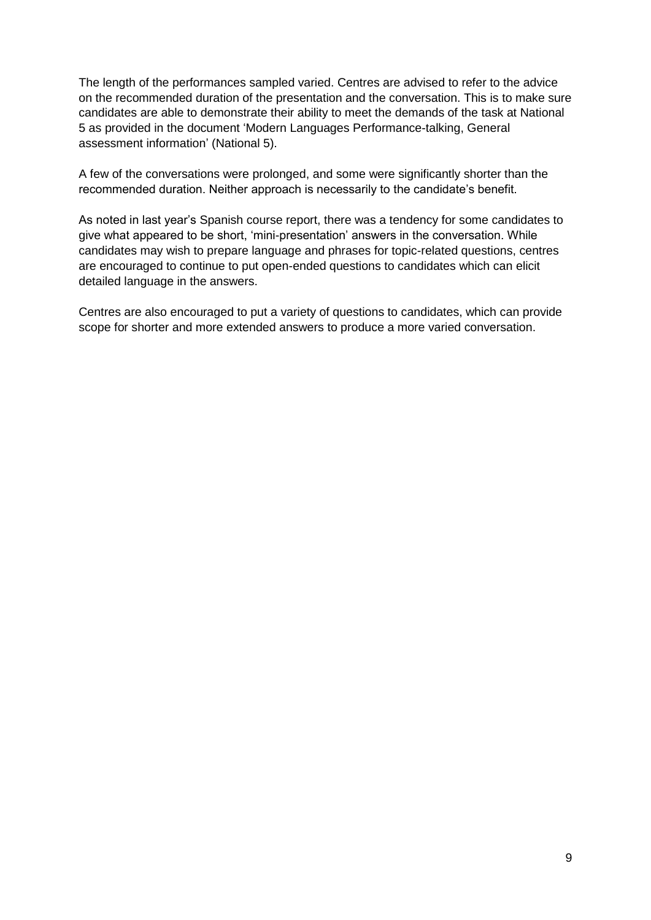The length of the performances sampled varied. Centres are advised to refer to the advice on the recommended duration of the presentation and the conversation. This is to make sure candidates are able to demonstrate their ability to meet the demands of the task at National 5 as provided in the document 'Modern Languages Performance-talking, General assessment information' (National 5).

A few of the conversations were prolonged, and some were significantly shorter than the recommended duration. Neither approach is necessarily to the candidate's benefit.

As noted in last year's Spanish course report, there was a tendency for some candidates to give what appeared to be short, 'mini-presentation' answers in the conversation. While candidates may wish to prepare language and phrases for topic-related questions, centres are encouraged to continue to put open-ended questions to candidates which can elicit detailed language in the answers.

Centres are also encouraged to put a variety of questions to candidates, which can provide scope for shorter and more extended answers to produce a more varied conversation.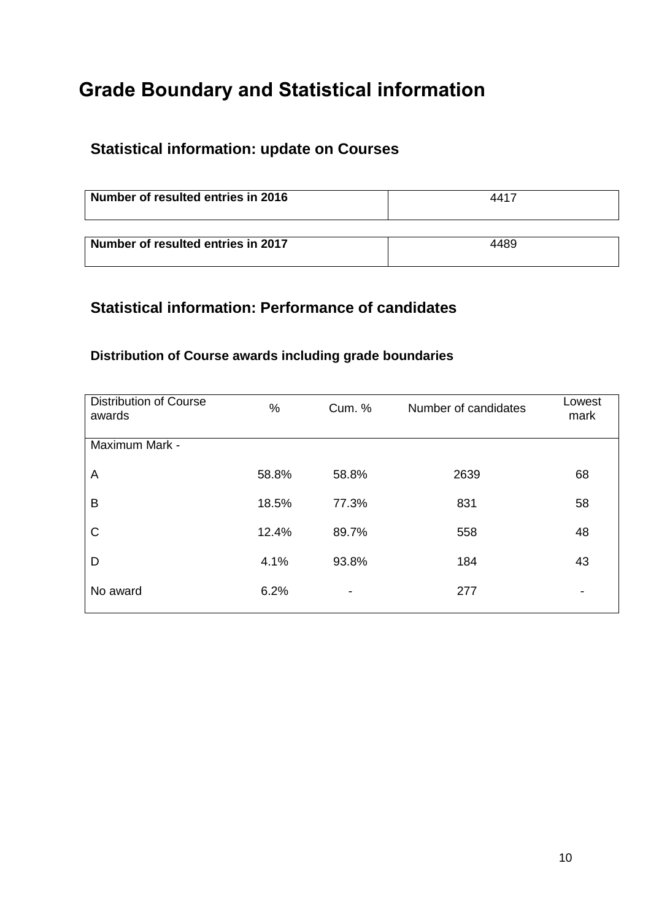## **Grade Boundary and Statistical information**

## **Statistical information: update on Courses**

| Number of resulted entries in 2016 | 4417 |
|------------------------------------|------|
| Number of resulted entries in 2017 | 4489 |

### **Statistical information: Performance of candidates**

### **Distribution of Course awards including grade boundaries**

| <b>Distribution of Course</b><br>awards | $\%$  | Cum. %                   | Number of candidates | Lowest<br>mark |
|-----------------------------------------|-------|--------------------------|----------------------|----------------|
| Maximum Mark -                          |       |                          |                      |                |
| A                                       | 58.8% | 58.8%                    | 2639                 | 68             |
| B                                       | 18.5% | 77.3%                    | 831                  | 58             |
| C                                       | 12.4% | 89.7%                    | 558                  | 48             |
| D                                       | 4.1%  | 93.8%                    | 184                  | 43             |
| No award                                | 6.2%  | $\overline{\phantom{a}}$ | 277                  |                |